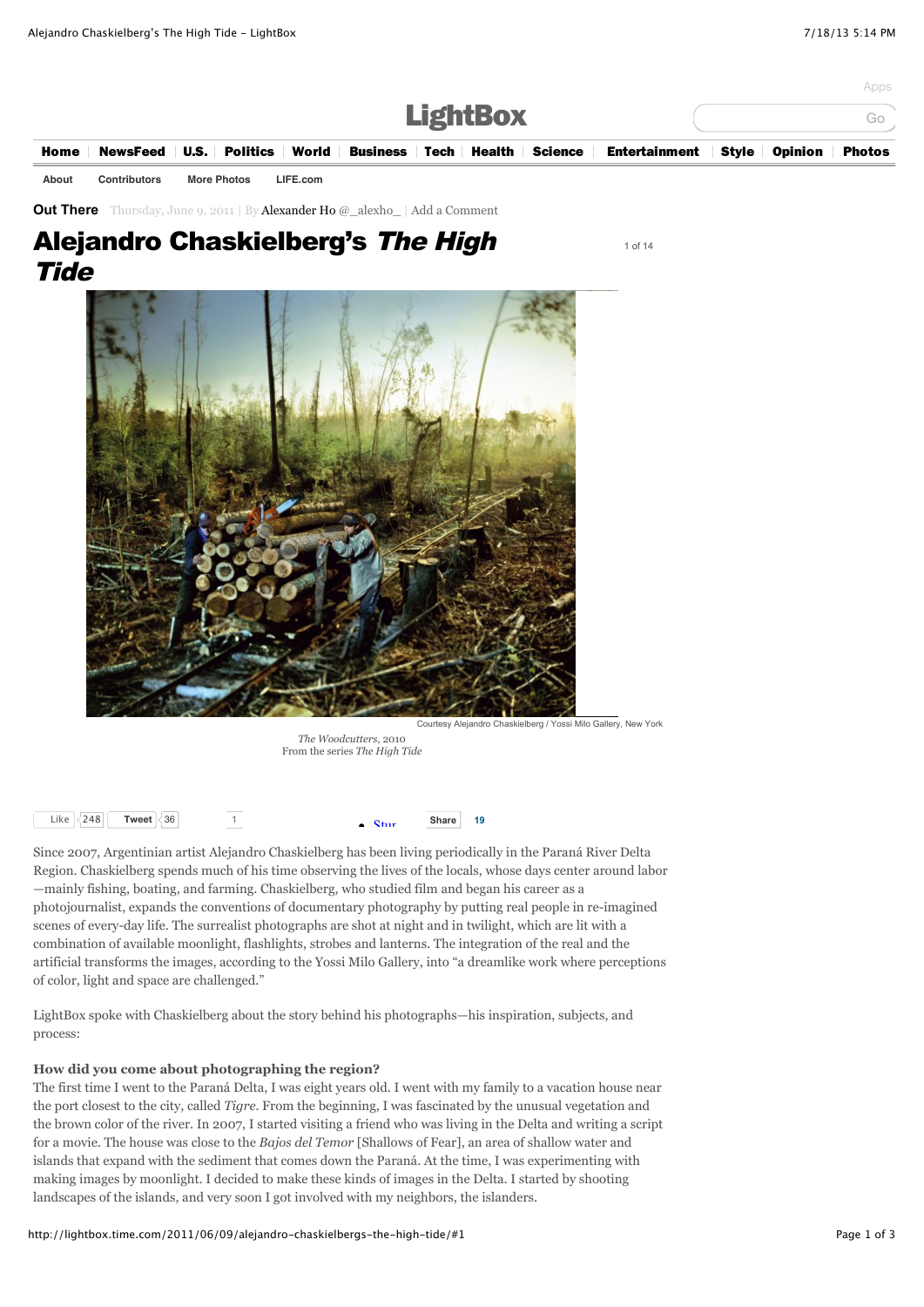|             |                     |                    |          |                                                                                       | <b>LightBox</b> |  | Apps<br>Gc    |
|-------------|---------------------|--------------------|----------|---------------------------------------------------------------------------------------|-----------------|--|---------------|
| <b>Home</b> |                     |                    |          | NewsFeed U.S. Politics World Business Tech Health Science Entertainment Style Opinion |                 |  | <b>Photos</b> |
| About       | <b>Contributors</b> | <b>More Photos</b> | LIFE.com |                                                                                       |                 |  |               |

1 of 14

**[Out There](http://lightbox.time.com/category/out-there/)** Thursday, June 9, 2011 | By [Alexander Ho](http://lightbox.time.com/author/alexanderho/) [@\\_alexho\\_](http://www.twitter.com/_alexho_) | [Add a Comment](http://lightbox.time.com/2011/06/09/alejandro-chaskielbergs-the-high-tide/#respond)

# Alejandro Chaskielberg's The High **Tide**

Courtesy Alejandro Chaskielberg / Yossi Milo Gallery, New York

*The Woodcutters*, 2010 From the series *The High Tide*



Since 2007, Argentinian artist Alejandro Chaskielberg has been living periodically in the Paraná River Delta Region. Chaskielberg spends much of his time observing the lives of the locals, whose days center around labor —mainly fishing, boating, and farming. Chaskielberg, who studied film and began his career as a photojournalist, expands the conventions of documentary photography by putting real people in re-imagined scenes of every-day life. The surrealist photographs are shot at night and in twilight, which are lit with a combination of available moonlight, flashlights, strobes and lanterns. The integration of the real and the artificial transforms the images, according to the Yossi Milo Gallery, into "a dreamlike work where perceptions of color, light and space are challenged."

LightBox spoke with Chaskielberg about the story behind his photographs—his inspiration, subjects, and process:

# **How did you come about photographing the region?**

The first time I went to the Paraná Delta, I was eight years old. I went with my family to a vacation house near the port closest to the city, called *Tigre*. From the beginning, I was fascinated by the unusual vegetation and the brown color of the river. In 2007, I started visiting a friend who was living in the Delta and writing a script for a movie. The house was close to the *Bajos del Temor* [Shallows of Fear], an area of shallow water and islands that expand with the sediment that comes down the Paraná. At the time, I was experimenting with making images by moonlight. I decided to make these kinds of images in the Delta. I started by shooting landscapes of the islands, and very soon I got involved with my neighbors, the islanders.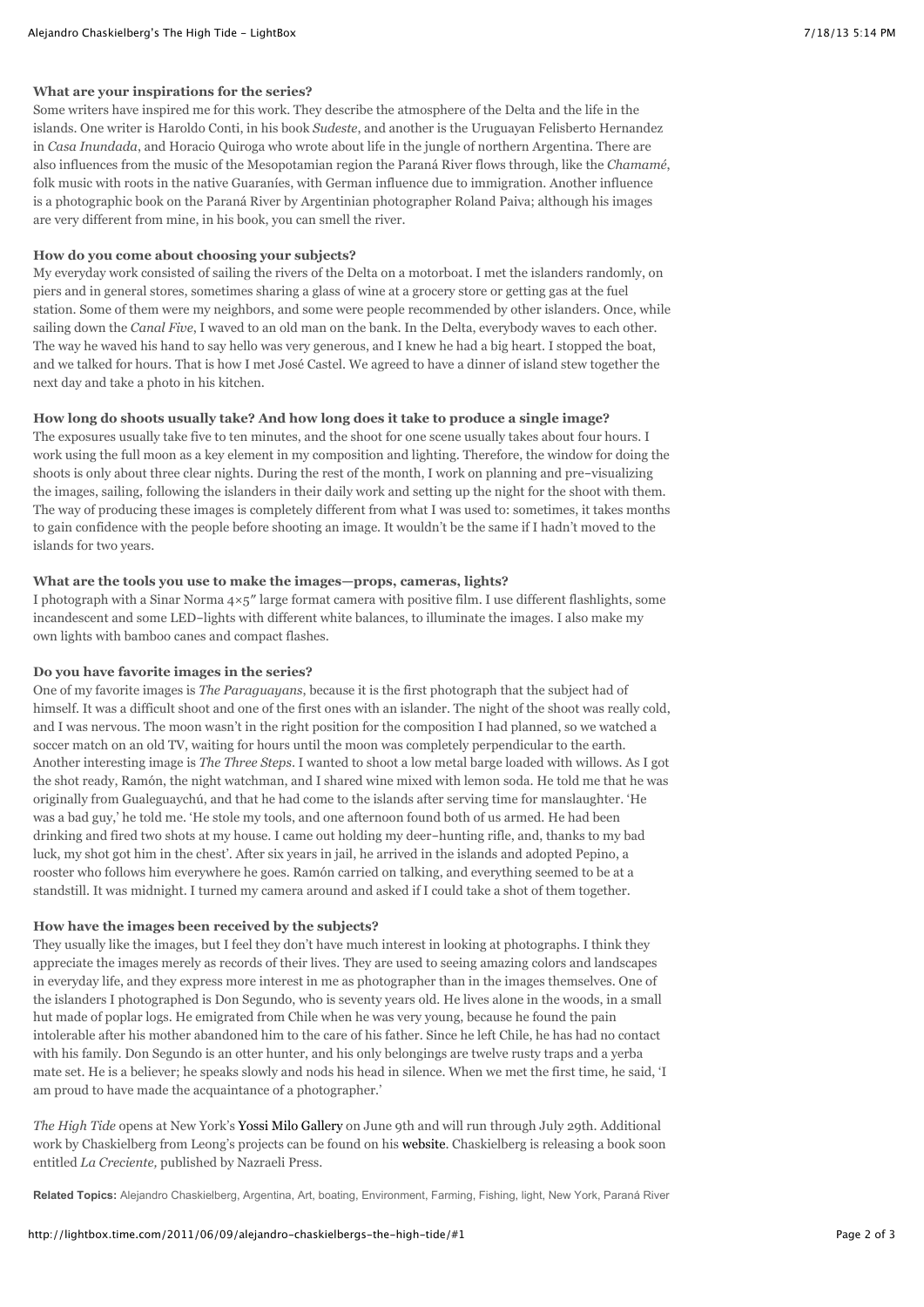#### **What are your inspirations for the series?**

Some writers have inspired me for this work. They describe the atmosphere of the Delta and the life in the islands. One writer is Haroldo Conti, in his book *Sudeste*, and another is the Uruguayan Felisberto Hernandez in *Casa Inundada*, and Horacio Quiroga who wrote about life in the jungle of northern Argentina. There are also influences from the music of the Mesopotamian region the Paraná River flows through, like the *Chamamé*, folk music with roots in the native Guaraníes, with German influence due to immigration. Another influence is a photographic book on the Paraná River by Argentinian photographer Roland Paiva; although his images are very different from mine, in his book, you can smell the river.

#### **How do you come about choosing your subjects?**

My everyday work consisted of sailing the rivers of the Delta on a motorboat. I met the islanders randomly, on piers and in general stores, sometimes sharing a glass of wine at a grocery store or getting gas at the fuel station. Some of them were my neighbors, and some were people recommended by other islanders. Once, while sailing down the *Canal Five*, I waved to an old man on the bank. In the Delta, everybody waves to each other. The way he waved his hand to say hello was very generous, and I knew he had a big heart. I stopped the boat, and we talked for hours. That is how I met José Castel. We agreed to have a dinner of island stew together the next day and take a photo in his kitchen.

# **How long do shoots usually take? And how long does it take to produce a single image?**

The exposures usually take five to ten minutes, and the shoot for one scene usually takes about four hours. I work using the full moon as a key element in my composition and lighting. Therefore, the window for doing the shoots is only about three clear nights. During the rest of the month, I work on planning and pre-visualizing the images, sailing, following the islanders in their daily work and setting up the night for the shoot with them. The way of producing these images is completely different from what I was used to: sometimes, it takes months to gain confidence with the people before shooting an image. It wouldn't be the same if I hadn't moved to the islands for two years.

#### **What are the tools you use to make the images—props, cameras, lights?**

I photograph with a Sinar Norma  $4\times5$ " large format camera with positive film. I use different flashlights, some incandescent and some LED-lights with different white balances, to illuminate the images. I also make my own lights with bamboo canes and compact flashes.

# **Do you have favorite images in the series?**

One of my favorite images is *The Paraguayans*, because it is the first photograph that the subject had of himself. It was a difficult shoot and one of the first ones with an islander. The night of the shoot was really cold, and I was nervous. The moon wasn't in the right position for the composition I had planned, so we watched a soccer match on an old TV, waiting for hours until the moon was completely perpendicular to the earth. Another interesting image is *The Three Steps*. I wanted to shoot a low metal barge loaded with willows. As I got the shot ready, Ramón, the night watchman, and I shared wine mixed with lemon soda. He told me that he was originally from Gualeguaychú, and that he had come to the islands after serving time for manslaughter. 'He was a bad guy,' he told me. 'He stole my tools, and one afternoon found both of us armed. He had been drinking and fired two shots at my house. I came out holding my deer-hunting rifle, and, thanks to my bad luck, my shot got him in the chest'. After six years in jail, he arrived in the islands and adopted Pepino, a rooster who follows him everywhere he goes. Ramón carried on talking, and everything seemed to be at a standstill. It was midnight. I turned my camera around and asked if I could take a shot of them together.

### **How have the images been received by the subjects?**

They usually like the images, but I feel they don't have much interest in looking at photographs. I think they appreciate the images merely as records of their lives. They are used to seeing amazing colors and landscapes in everyday life, and they express more interest in me as photographer than in the images themselves. One of the islanders I photographed is Don Segundo, who is seventy years old. He lives alone in the woods, in a small hut made of poplar logs. He emigrated from Chile when he was very young, because he found the pain intolerable after his mother abandoned him to the care of his father. Since he left Chile, he has had no contact with his family. Don Segundo is an otter hunter, and his only belongings are twelve rusty traps and a yerba mate set. He is a believer; he speaks slowly and nods his head in silence. When we met the first time, he said, 'I am proud to have made the acquaintance of a photographer.'

*The High Tide* opens at New York's [Yossi Milo Gallery](http://www.yossimilo.com/) on June 9th and will run through July 29th. Additional work by Chaskielberg from Leong's projects can be found on his [website.](http://www.chaskielberg.com/) Chaskielberg is releasing a book soon entitled *La Creciente,* published by Nazraeli Press.

**Related Topics:** [Alejandro Chaskielberg](http://lightbox.time.com/tag/alejandro-chaskielberg/)[, A](http://lightbox.time.com/tag/parana-river-delta/)[rgentina](http://lightbox.time.com/tag/argentina/)[,](http://lightbox.time.com/tag/parana-river-delta/) [Ar](http://lightbox.time.com/tag/art/)[t,](http://lightbox.time.com/tag/parana-river-delta/) [boatin](http://lightbox.time.com/tag/boating/)[g,](http://lightbox.time.com/tag/parana-river-delta/) [Environment](http://lightbox.time.com/tag/environment/)[,](http://lightbox.time.com/tag/parana-river-delta/) [Farming](http://lightbox.time.com/tag/farming/)[,](http://lightbox.time.com/tag/parana-river-delta/) [Fishin](http://lightbox.time.com/tag/fishing/)[g,](http://lightbox.time.com/tag/parana-river-delta/) [light](http://lightbox.time.com/tag/light/)[,](http://lightbox.time.com/tag/parana-river-delta/) [New York](http://lightbox.time.com/tag/new-york/)[, Paraná River](http://lightbox.time.com/tag/parana-river-delta/)